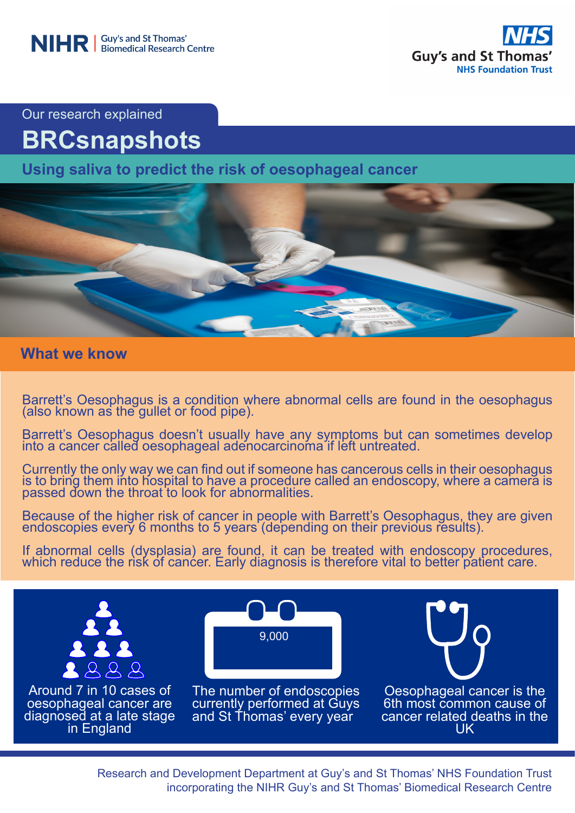

Our research explained

# **BRCsnapshots**

**Using saliva to predict the risk of oesophageal cancer**



**What we know**

Barrett's Oesophagus is a condition where abnormal cells are found in the oesophagus (also known as the gullet or food pipe).

Barrett's Oesophagus doesn't usually have any symptoms but can sometimes develop into a cancer called oesophageal adenocarcinoma if left untreated.

Currently the only way we can find out if someone has cancerous cells in their oesophagus is to bring them into hospital to have a procedure called an endoscopy, where a camera is passed down the throat to look for abnormalities.

Because of the higher risk of cancer in people with Barrett's Oesophagus, they are given endoscopies every 6 months to 5 years (depending on their previous results).

If abnormal cells (dysplasia) are found, it can be treated with endoscopy procedures, which reduce the risk of cancer. Early diagnosis is therefore vital to better patient care.



Research and Development Department at Guy's and St Thomas' NHS Foundation Trust incorporating the NIHR Guy's and St Thomas' Biomedical Research Centre